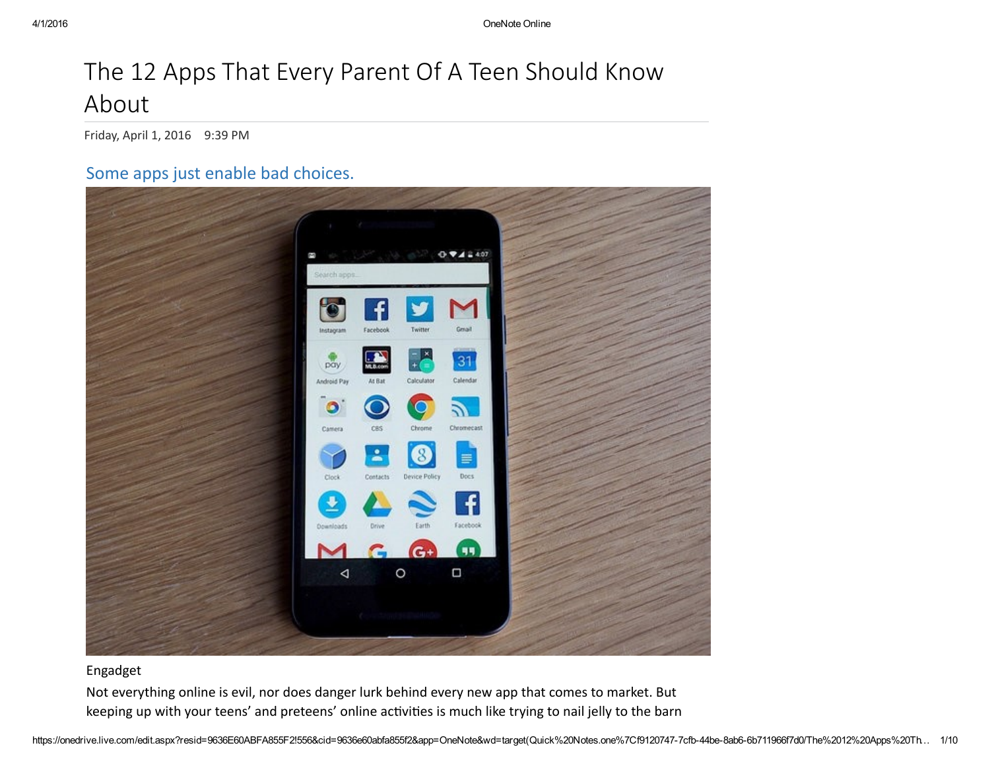### The 12 Apps That Every Parent Of A Teen Should Know About

Friday, April 1, 2016 9:39 PM

#### Some apps just enable bad choices.



#### Engadget

Not everything online is evil, nor does danger lurk behind every new app that comes to market. But keeping up with your teens' and preteens' online activities is much like trying to nail jelly to the barn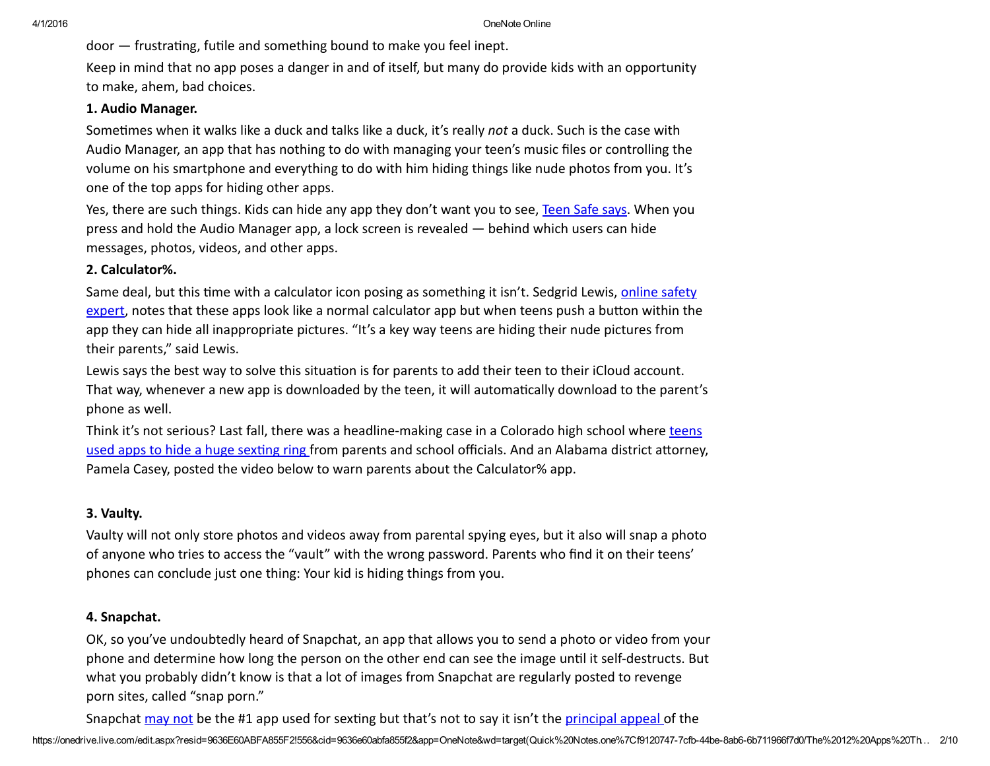door - frustrating, futile and something bound to make you feel inept.

Keep in mind that no app poses a danger in and of itself, but many do provide kids with an opportunity to make, ahem, bad choices.

#### 1. Audio Manager.

Sometimes when it walks like a duck and talks like a duck, it's really *not* a duck. Such is the case with Audio Manager, an app that has nothing to do with managing your teen's music files or controlling the volume on his smartphone and everything to do with him hiding things like nude photos from you. It's one of the top apps for hiding other apps.

Yes, there are such things. Kids can hide any app they don't want you to see, [Teen](http://www.teensafe.com/blog/find-hidden-apps-your-teen-doesnt-want-you-seeing/) Safe says. When you press and hold the Audio Manager app, a lock screen is revealed — behind which users can hide messages, photos, videos, and other apps.

#### 2. Calculator%.

Same deal, but this time with a calculator icon posing as something it isn't. Sedgrid Lewis, online safety expert, notes that these apps look like a normal [calculator](http://digitalparentpodcast.com/) app but when teens push a button within the app they can hide all inappropriate pictures. "It's a key way teens are hiding their nude pictures from their parents," said Lewis.

Lewis says the best way to solve this situation is for parents to add their teen to their iCloud account. That way, whenever a new app is downloaded by the teen, it will automatically download to the parent's phone as well.

Think it's not serious? Last fall, there was a headline-making case in a Colorado high school where teens used apps to hide a huge sexting ring from parents and school officials. And an Alabama district attorney, Pamela Casey, posted the video below to warn parents about the Calculator% app.

#### 3. Vaulty.

Vaulty will not only store photos and videos away from parental spying eyes, but it also will snap a photo of anyone who tries to access the "vault" with the wrong password. Parents who find it on their teens' phones can conclude just one thing: Your kid is hiding things from you.

#### 4. Snapchat.

OK, so you've undoubtedly heard of Snapchat, an app that allows you to send a photo or video from your phone and determine how long the person on the other end can see the image until it self-destructs. But what you probably didn't know is that a lot of images from Snapchat are regularly posted to revenge porn sites, called "snap porn."

Snapchat [may](http://www.huffingtonpost.com/2014/07/14/snapchat-sexting-study_n_5574642.html) not be the #1 app used for sexting but that's not to say it isn't the [principal](https://www.commonsensemedia.org/social-media/how-can-i-know-that-my-teen-is-being-safe-and-responsible-when-shes-using-anonymousself) appeal of the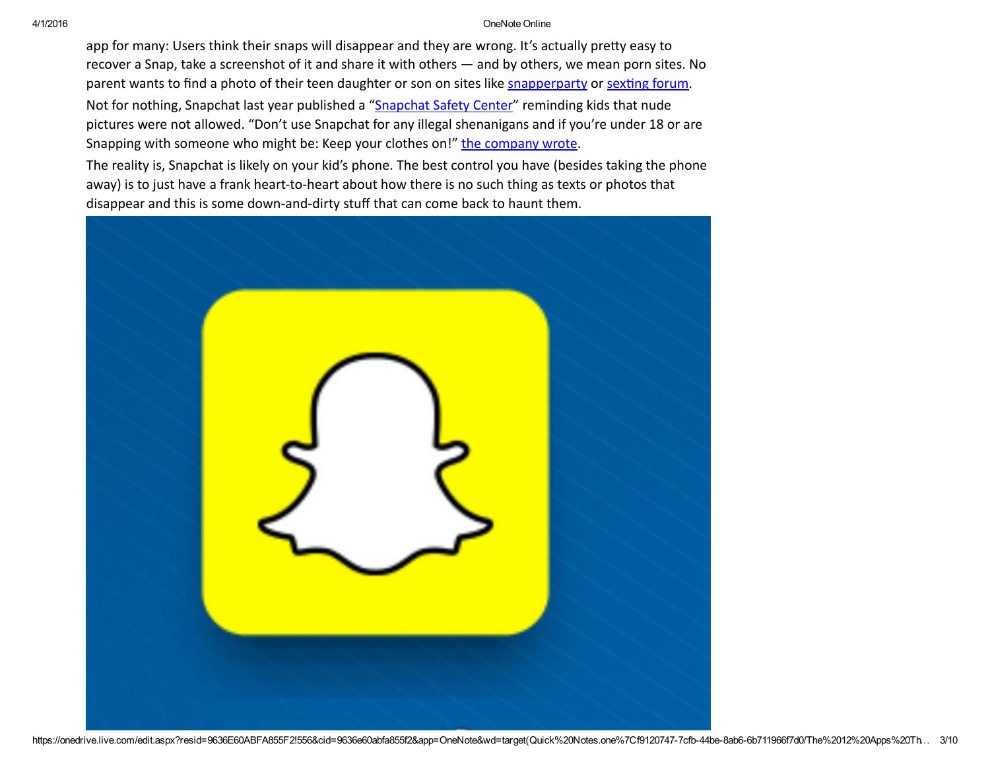#### 4/1/2016 OneNote Online

app for many: Users think their snaps will disappear and they are wrong. It's actually pretty easy to recover a Snap, take a screenshot of it and share it with others — and by others, we mean porn sites. No parent wants to find a photo of their teen daughter or son on sites like [snapperparty](http://www.snapperparty.com/) or sexting forum.

Not for nothing, [Snapchat](https://www.snapchat.com/safety) last year published a "Snapchat Safety Center" reminding kids that nude pictures were not allowed. "Don't use Snapchat for any illegal shenanigans and if you're under 18 or are Snapping with someone who might be: Keep your clothes on!" the [company](http://www.huffingtonpost.com/entry/Snapchat%20published%20a%20%E2%80%9CSnapchat%20Safety%20Center%E2%80%9D%20reminding%20children%20that%20nude%20pictures%20were%20not%20allowed.%20%E2%80%9CDon%E2%80%99t%20use%20Snapchat%20for%20any%20illegal%20shenanigans%20and%20if%20you%E2%80%99re%20under%2018%20or%20are%20Snapping%20with%20someone%20who%20might%20be:%20keep%20your%20clothes%20on!%E2%80%9D%20the%20company%20wrote) wrote.

The reality is, Snapchat is likely on your kid's phone. The best control you have (besides taking the phone away) is to just have a frank heart-to-heart about how there is no such thing as texts or photos that disappear and this is some down‐and‐dirty stuff that can come back to haunt them.

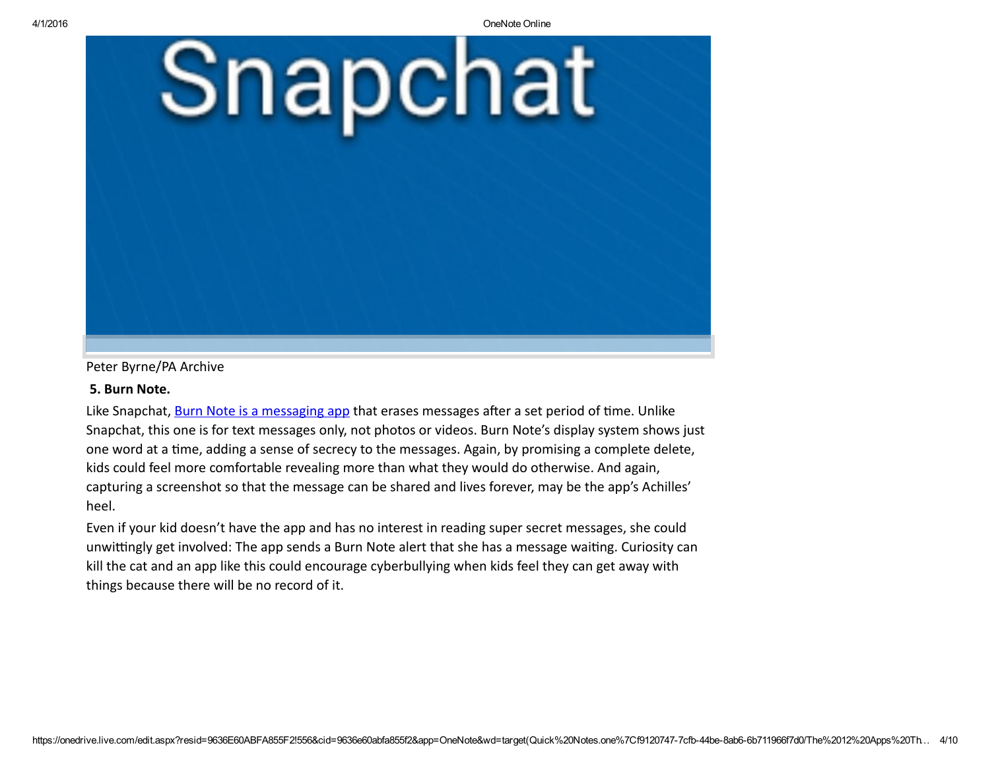

Peter Byrne/PA Archive

#### 5. Burn Note.

Like Snapchat, Burn Note is a [messaging](http://ttps//burnnote.com/) app that erases messages after a set period of time. Unlike Snapchat, this one is for text messages only, not photos or videos. Burn Note's display system shows just one word at a time, adding a sense of secrecy to the messages. Again, by promising a complete delete, kids could feel more comfortable revealing more than what they would do otherwise. And again, capturing a screenshot so that the message can be shared and lives forever, may be the app's Achilles' heel.

Even if your kid doesn't have the app and has no interest in reading super secret messages, she could unwittingly get involved: The app sends a Burn Note alert that she has a message waiting. Curiosity can kill the cat and an app like this could encourage cyberbullying when kids feel they can get away with things because there will be no record of it.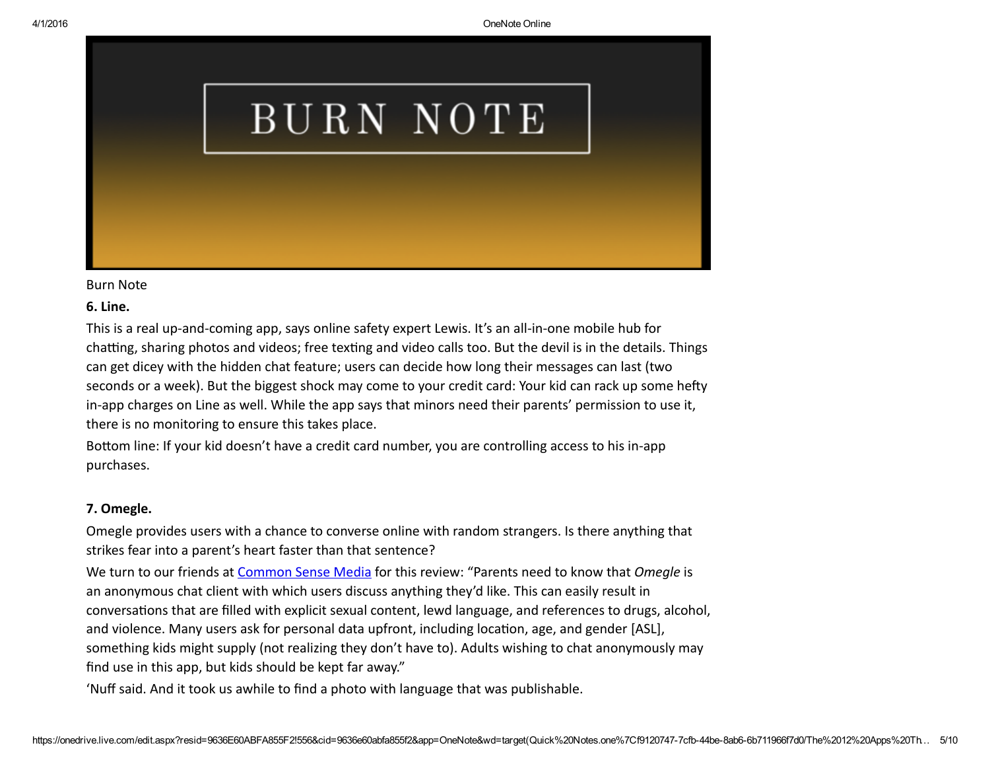# BURN NOTE

#### Burn Note

#### 6. Line.

This is a real up-and-coming app, says online safety expert Lewis. It's an all-in-one mobile hub for chatting, sharing photos and videos; free texting and video calls too. But the devil is in the details. Things can get dicey with the hidden chat feature; users can decide how long their messages can last (two seconds or a week). But the biggest shock may come to your credit card: Your kid can rack up some hefty in-app charges on Line as well. While the app says that minors need their parents' permission to use it, there is no monitoring to ensure this takes place.

Bottom line: If your kid doesn't have a credit card number, you are controlling access to his in-app purchases.

#### 7. Omegle.

Omegle provides users with a chance to converse online with random strangers. Is there anything that strikes fear into a parent's heart faster than that sentence?

We turn to our friends at [Common](https://www.commonsensemedia.org/app-reviews/omegle) Sense Media for this review: "Parents need to know that *Omegle* is an anonymous chat client with which users discuss anything they'd like. This can easily result in conversations that are filled with explicit sexual content, lewd language, and references to drugs, alcohol, and violence. Many users ask for personal data upfront, including location, age, and gender [ASL], something kids might supply (not realizing they don't have to). Adults wishing to chat anonymously may find use in this app, but kids should be kept far away."

'Nuff said. And it took us awhile to find a photo with language that was publishable.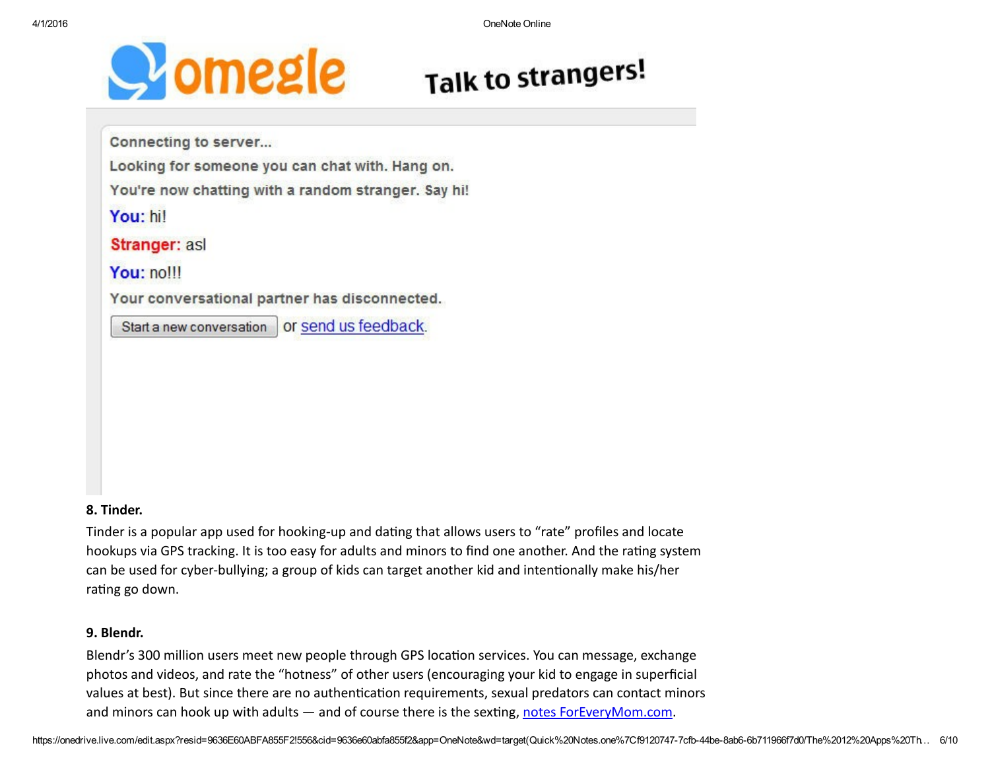

## **Talk to strangers!**

Connecting to server...

Looking for someone you can chat with. Hang on.

You're now chatting with a random stranger. Say hi!

You: hil

Stranger: asl

You: nolll

Your conversational partner has disconnected.

Start a new conversation | or send us feedback.

#### 8. Tinder.

Tinder is a popular app used for hooking-up and dating that allows users to "rate" profiles and locate hookups via GPS tracking. It is too easy for adults and minors to find one another. And the rating system can be used for cyber-bullying; a group of kids can target another kid and intentionally make his/her rating go down.

#### 9. Blendr.

Blendr's 300 million users meet new people through GPS location services. You can message, exchange photos and videos, and rate the "hotness" of other users (encouraging your kid to engage in superficial values at best). But since there are no authentication requirements, sexual predators can contact minors and minors can hook up with adults — and of course there is the sexting, notes [ForEveryMom.com](http://www.foreverymom.com/parents-kids-10-dangerous-apps-time-hit-delete/).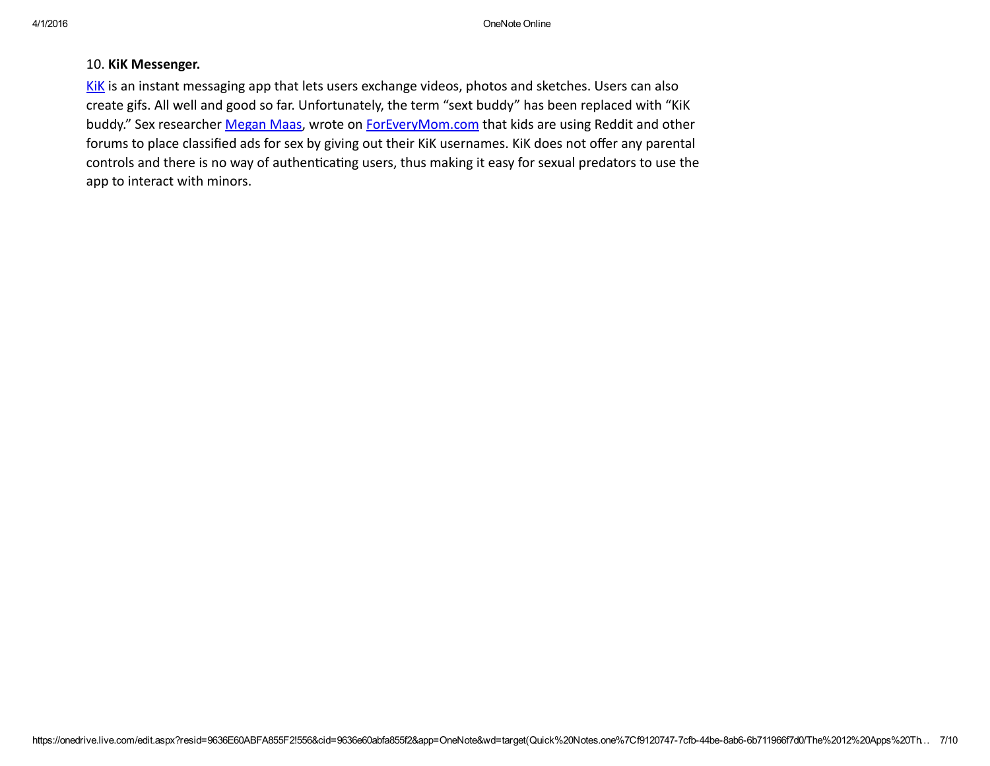#### 10. KiK Messenger.

[KiK](http://www.kik.com/) is an instant messaging app that lets users exchange videos, photos and sketches. Users can also create gifs. All well and good so far. Unfortunately, the term "sext buddy" has been replaced with "KiK buddy." Sex researcher [Megan](http://www.meganmaas.com/) Maas, wrote on [ForEveryMom.com](http://www.foreverymom.com/parents-kids-10-dangerous-apps-time-hit-delete/) that kids are using Reddit and other forums to place classified ads for sex by giving out their KiK usernames. KiK does not offer any parental controls and there is no way of authenticating users, thus making it easy for sexual predators to use the app to interact with minors.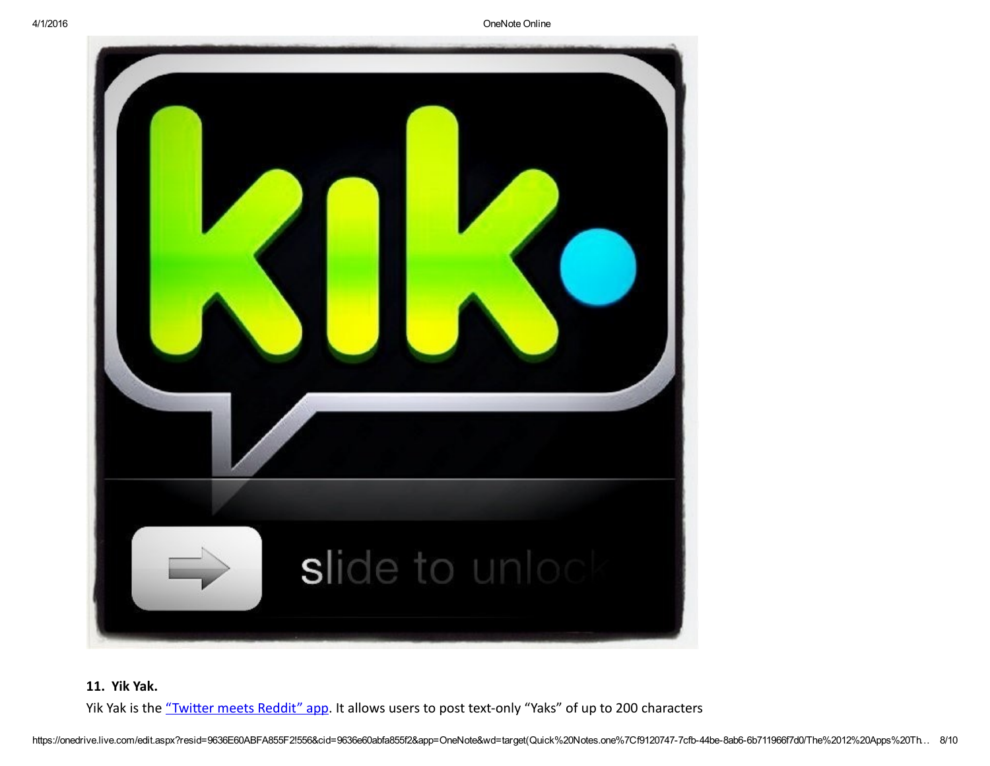4/1/2016 OneNote Online



#### 11. Yik Yak.

Yik Yak is the "Twitter meets Reddit" app. It allows users to post text-only "Yaks" of up to 200 characters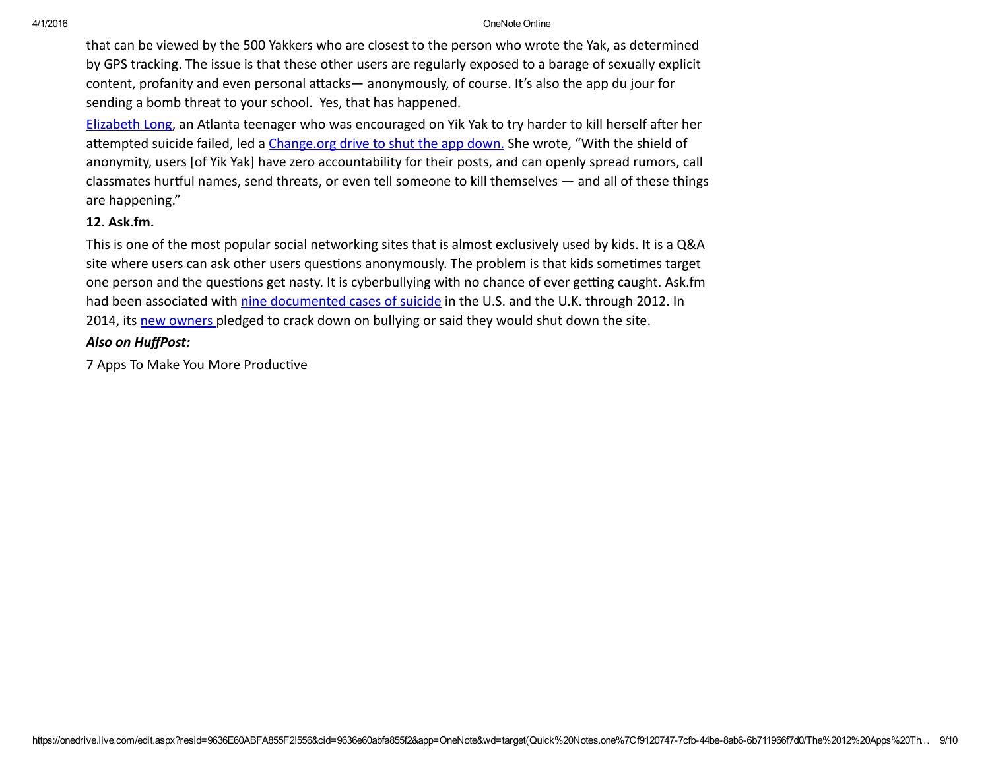#### 4/1/2016 OneNote Online

that can be viewed by the 500 Yakkers who are closest to the person who wrote the Yak, as determined by GPS tracking. The issue is that these other users are regularly exposed to a barage of sexually explicit content, profanity and even personal attacks— anonymously, of course. It's also the app du jour for sending a bomb threat to your school. Yes, that has happened.

[Elizabeth](http://www.businessinsider.com/elizabeth-long-was-bullied-on-yik-yak-2015-3) Long, an Atlanta teenager who was encouraged on Yik Yak to try harder to kill herself after her attempted suicide failed, led a [Change.org](https://www.change.org/p/tyler-droll-and-brooks-buffington-shut-down-the-app-yik-yak) drive to shut the app down. She wrote, "With the shield of anonymity, users [of Yik Yak] have zero accountability for their posts, and can openly spread rumors, call classmates hurჵul names, send threats, or even tell someone to kill themselves — and all of these things are happening."

#### 12. Ask.fm.

This is one of the most popular social networking sites that is almost exclusively used by kids. It is a Q&A site where users can ask other users questions anonymously. The problem is that kids sometimes target one person and the questions get nasty. It is cyberbullying with no chance of ever getting caught. Ask.fm had been associated with nine [documented](http://www.buzzfeed.com/ryanhatesthis/a-ninth-teenager-since-last-september-has-committed-suicide) cases of suicide in the U.S. and the U.K. through 2012. In 2014, its new [owners](http://www.theguardian.com/technology/2014/aug/19/askfm-askcom-bullying) pledged to crack down on bullying or said they would shut down the site.

#### *Also on HuffPost:*

7 Apps To Make You More Productive